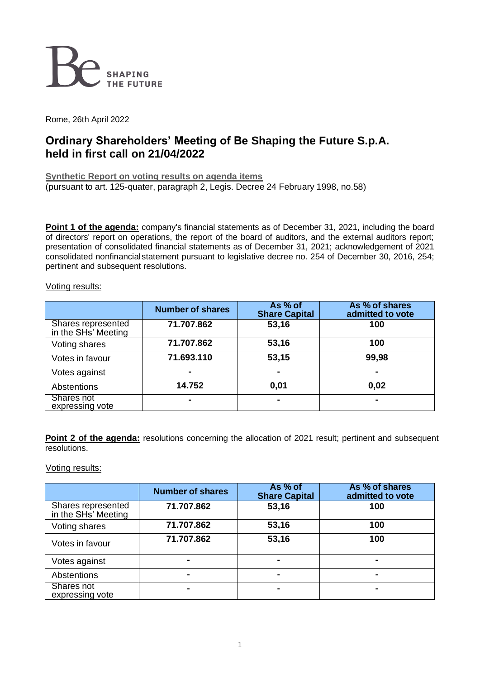

Rome, 26th April 2022

# **Ordinary Shareholders' Meeting of Be Shaping the Future S.p.A. held in first call on 21/04/2022**

**Synthetic Report on voting results on agenda items** (pursuant to art. 125-quater, paragraph 2, Legis. Decree 24 February 1998, no.58)

**Point 1 of the agenda:** company's financial statements as of December 31, 2021, including the board of directors' report on operations, the report of the board of auditors, and the external auditors report; presentation of consolidated financial statements as of December 31, 2021; acknowledgement of 2021 consolidated nonfinancialstatement pursuant to legislative decree no. 254 of December 30, 2016, 254; pertinent and subsequent resolutions.

| Voting results: |
|-----------------|
|                 |

|                                           | <b>Number of shares</b> | As % of<br><b>Share Capital</b> | As % of shares<br>admitted to vote |
|-------------------------------------------|-------------------------|---------------------------------|------------------------------------|
| Shares represented<br>in the SHs' Meeting | 71.707.862              | 53,16                           | 100                                |
| Voting shares                             | 71.707.862              | 53,16                           | 100                                |
| Votes in favour                           | 71.693.110              | 53,15                           | 99,98                              |
| Votes against                             |                         | $\blacksquare$                  | $\blacksquare$                     |
| Abstentions                               | 14.752                  | 0,01                            | 0,02                               |
| Shares not<br>expressing vote             |                         |                                 | -                                  |

**Point 2 of the agenda:** resolutions concerning the allocation of 2021 result; pertinent and subsequent resolutions.

### Voting results:

|                                           | <b>Number of shares</b> | As % of<br><b>Share Capital</b> | As % of shares<br>admitted to vote |
|-------------------------------------------|-------------------------|---------------------------------|------------------------------------|
| Shares represented<br>in the SHs' Meeting | 71.707.862              | 53,16                           | 100                                |
| Voting shares                             | 71.707.862              | 53,16                           | 100                                |
| Votes in favour                           | 71.707.862              | 53,16                           | 100                                |
| Votes against                             |                         |                                 |                                    |
| Abstentions                               | $\blacksquare$          |                                 | $\blacksquare$                     |
| Shares not<br>expressing vote             | -                       |                                 |                                    |